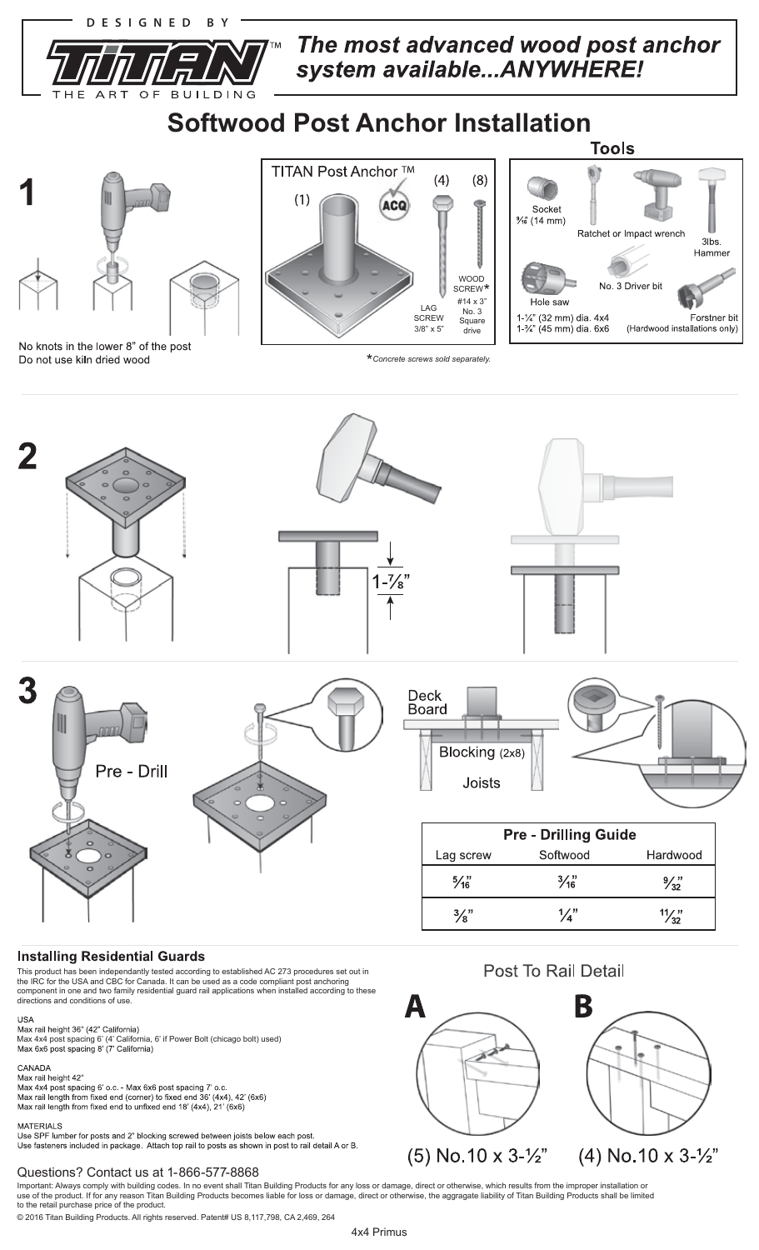

O<sub>F</sub>

T

**BUILDIN** 

G

The most advanced wood post anchor system available...ANYWHERE!

# **Softwood Post Anchor Installation**



No knots in the lower 8" of the post Do not use kiln dried wood



\**Concrete screws sold separately.*





## **Installing Residential Guards**

This product has been independantly tested according to established AC 273 procedures set out in the IRC for the USA and CBC for Canada. It can be used as a code compliant post anchoring component in one and two family residential guard rail applications when installed according to these directions and conditions of use.

# **USA**

USA<br>Max rail height 36" (42" California)<br>Max 4x4 post spacing 6' (4' California, 6' if Power Bolt (chicago bolt) used)<br>Max 6x6 post spacing 8' (7' California)

### CANADA

Max rail height 42"<br>Max 4x4 post spacing 6' o.c. - Max 6x6 post spacing 7' o.c.<br>Max rail length from fixed end (corner) to fixed end 36' (4x4), 42' (6x6)

Max rail length from fixed end to unfixed end 18' (4x4), 21' (6x6)

#### **MATERIALS**

... . . . . . .<br>Use SPF lumber for posts and 2" blocking screwed between joists below each post.<br>Use fasteners included in package. Attach top rail to posts as shown in post to rail detail A or B.

# Questions? Contact us at 1-866-577-8868

Important: Always comply with building codes. In no event shall Titan Building Products for any loss or damage, direct or otherwise, which results from the improper installation or<br>use of the product. If for any reason Tit

© 2016 Titan Building Products. All rights reserved. Patent# US 8,117,798, CA 2,469, 264

А

# **Post To Rail Detail**